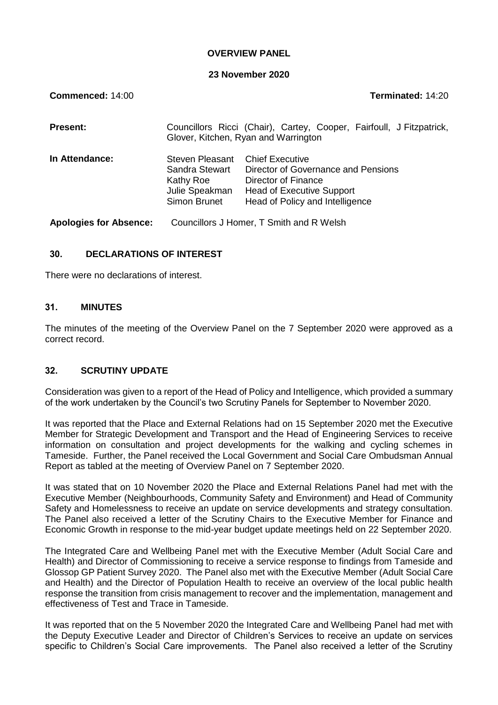### **OVERVIEW PANEL**

#### **23 November 2020**

| Commenced: 14:00              |                                                                                                              | Terminated: 14:20                                                                                                                                           |  |
|-------------------------------|--------------------------------------------------------------------------------------------------------------|-------------------------------------------------------------------------------------------------------------------------------------------------------------|--|
| <b>Present:</b>               | Councillors Ricci (Chair), Cartey, Cooper, Fairfoull, J Fitzpatrick,<br>Glover, Kitchen, Ryan and Warrington |                                                                                                                                                             |  |
| In Attendance:                | Steven Pleasant<br>Sandra Stewart<br>Kathy Roe<br>Julie Speakman<br>Simon Brunet                             | <b>Chief Executive</b><br>Director of Governance and Pensions<br>Director of Finance<br><b>Head of Executive Support</b><br>Head of Policy and Intelligence |  |
| <b>Apologies for Absence:</b> |                                                                                                              | Councillors J Homer, T Smith and R Welsh                                                                                                                    |  |

### **30. DECLARATIONS OF INTEREST**

There were no declarations of interest.

### **31. MINUTES**

The minutes of the meeting of the Overview Panel on the 7 September 2020 were approved as a correct record.

### **32. SCRUTINY UPDATE**

Consideration was given to a report of the Head of Policy and Intelligence, which provided a summary of the work undertaken by the Council's two Scrutiny Panels for September to November 2020.

It was reported that the Place and External Relations had on 15 September 2020 met the Executive Member for Strategic Development and Transport and the Head of Engineering Services to receive information on consultation and project developments for the walking and cycling schemes in Tameside. Further, the Panel received the Local Government and Social Care Ombudsman Annual Report as tabled at the meeting of Overview Panel on 7 September 2020.

It was stated that on 10 November 2020 the Place and External Relations Panel had met with the Executive Member (Neighbourhoods, Community Safety and Environment) and Head of Community Safety and Homelessness to receive an update on service developments and strategy consultation. The Panel also received a letter of the Scrutiny Chairs to the Executive Member for Finance and Economic Growth in response to the mid-year budget update meetings held on 22 September 2020.

The Integrated Care and Wellbeing Panel met with the Executive Member (Adult Social Care and Health) and Director of Commissioning to receive a service response to findings from Tameside and Glossop GP Patient Survey 2020. The Panel also met with the Executive Member (Adult Social Care and Health) and the Director of Population Health to receive an overview of the local public health response the transition from crisis management to recover and the implementation, management and effectiveness of Test and Trace in Tameside.

It was reported that on the 5 November 2020 the Integrated Care and Wellbeing Panel had met with the Deputy Executive Leader and Director of Children's Services to receive an update on services specific to Children's Social Care improvements. The Panel also received a letter of the Scrutiny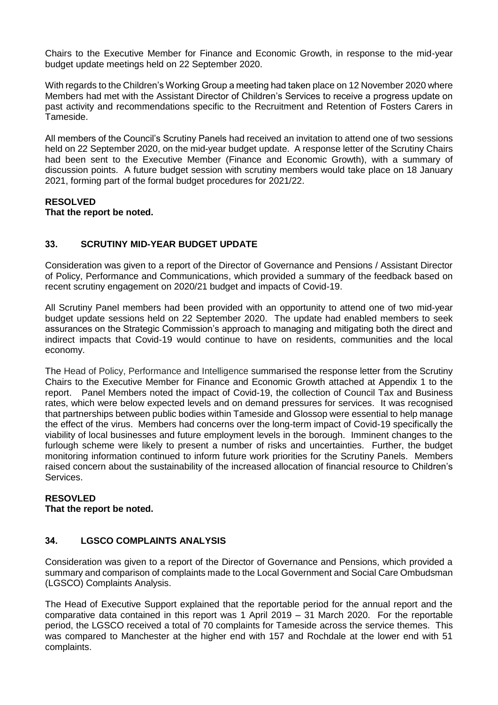Chairs to the Executive Member for Finance and Economic Growth, in response to the mid-year budget update meetings held on 22 September 2020.

With regards to the Children's Working Group a meeting had taken place on 12 November 2020 where Members had met with the Assistant Director of Children's Services to receive a progress update on past activity and recommendations specific to the Recruitment and Retention of Fosters Carers in Tameside.

All members of the Council's Scrutiny Panels had received an invitation to attend one of two sessions held on 22 September 2020, on the mid-year budget update. A response letter of the Scrutiny Chairs had been sent to the Executive Member (Finance and Economic Growth), with a summary of discussion points. A future budget session with scrutiny members would take place on 18 January 2021, forming part of the formal budget procedures for 2021/22.

#### **RESOLVED That the report be noted.**

# **33. SCRUTINY MID-YEAR BUDGET UPDATE**

Consideration was given to a report of the Director of Governance and Pensions / Assistant Director of Policy, Performance and Communications, which provided a summary of the feedback based on recent scrutiny engagement on 2020/21 budget and impacts of Covid-19.

All Scrutiny Panel members had been provided with an opportunity to attend one of two mid-year budget update sessions held on 22 September 2020. The update had enabled members to seek assurances on the Strategic Commission's approach to managing and mitigating both the direct and indirect impacts that Covid-19 would continue to have on residents, communities and the local economy.

The Head of Policy, Performance and Intelligence summarised the response letter from the Scrutiny Chairs to the Executive Member for Finance and Economic Growth attached at Appendix 1 to the report. Panel Members noted the impact of Covid-19, the collection of Council Tax and Business rates, which were below expected levels and on demand pressures for services. It was recognised that partnerships between public bodies within Tameside and Glossop were essential to help manage the effect of the virus. Members had concerns over the long-term impact of Covid-19 specifically the viability of local businesses and future employment levels in the borough. Imminent changes to the furlough scheme were likely to present a number of risks and uncertainties. Further, the budget monitoring information continued to inform future work priorities for the Scrutiny Panels. Members raised concern about the sustainability of the increased allocation of financial resource to Children's Services.

# **RESOVLED**

**That the report be noted.**

### **34. LGSCO COMPLAINTS ANALYSIS**

Consideration was given to a report of the Director of Governance and Pensions, which provided a summary and comparison of complaints made to the Local Government and Social Care Ombudsman (LGSCO) Complaints Analysis.

The Head of Executive Support explained that the reportable period for the annual report and the comparative data contained in this report was 1 April 2019 – 31 March 2020. For the reportable period, the LGSCO received a total of 70 complaints for Tameside across the service themes. This was compared to Manchester at the higher end with 157 and Rochdale at the lower end with 51 complaints.